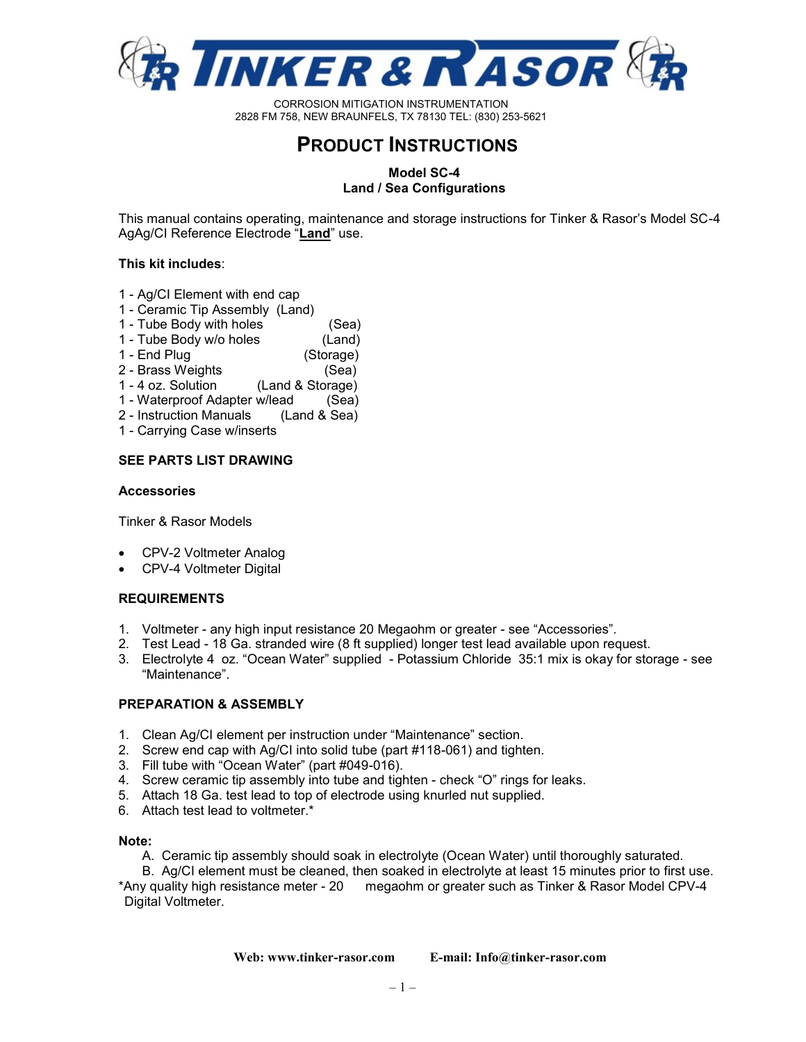

# **PRODUCT INSTRUCTIONS**

## **Model SC-4 Land / Sea Configurations**

This manual contains operating, maintenance and storage instructions for Tinker & Rasor's Model SC-4 AgAg/CI Reference Electrode "**Land**" use.

### **This kit includes**:

- 1 Ag/CI Element with end cap
- 1 Ceramic Tip Assembly (Land)
- 1 Tube Body with holes (Sea)
- 1 Tube Body w/o holes (Land)
- 1 End Plug (Storage)
- 2 Brass Weights (Sea)
- 1 4 oz. Solution (Land & Storage)
- 1 Waterproof Adapter w/lead (Sea)
- 2 Instruction Manuals (Land & Sea)
- 1 Carrying Case w/inserts

### **SEE PARTS LIST DRAWING**

### **Accessories**

Tinker & Rasor Models

- CPV-2 Voltmeter Analog
- CPV-4 Voltmeter Digital

## **REQUIREMENTS**

- 1. Voltmeter any high input resistance 20 Megaohm or greater see "Accessories".
- 2. Test Lead 18 Ga. stranded wire (8 ft supplied) longer test lead available upon request.
- 3. Electrolyte 4 oz. "Ocean Water" supplied Potassium Chloride 35:1 mix is okay for storage see "Maintenance".

### **PREPARATION & ASSEMBLY**

- 1. Clean Ag/CI element per instruction under "Maintenance" section.
- 2. Screw end cap with Ag/CI into solid tube (part #118-061) and tighten.
- 3. Fill tube with "Ocean Water" (part #049-016).
- 4. Screw ceramic tip assembly into tube and tighten check "O" rings for leaks.
- 5. Attach 18 Ga. test lead to top of electrode using knurled nut supplied.
- 6. Attach test lead to voltmeter.\*

### **Note:**

A. Ceramic tip assembly should soak in electrolyte (Ocean Water) until thoroughly saturated.

B. Ag/CI element must be cleaned, then soaked in electrolyte at least 15 minutes prior to first use. \*Any quality high resistance meter - 20 megaohm or greater such as Tinker & Rasor Model CPV-4 Digital Voltmeter.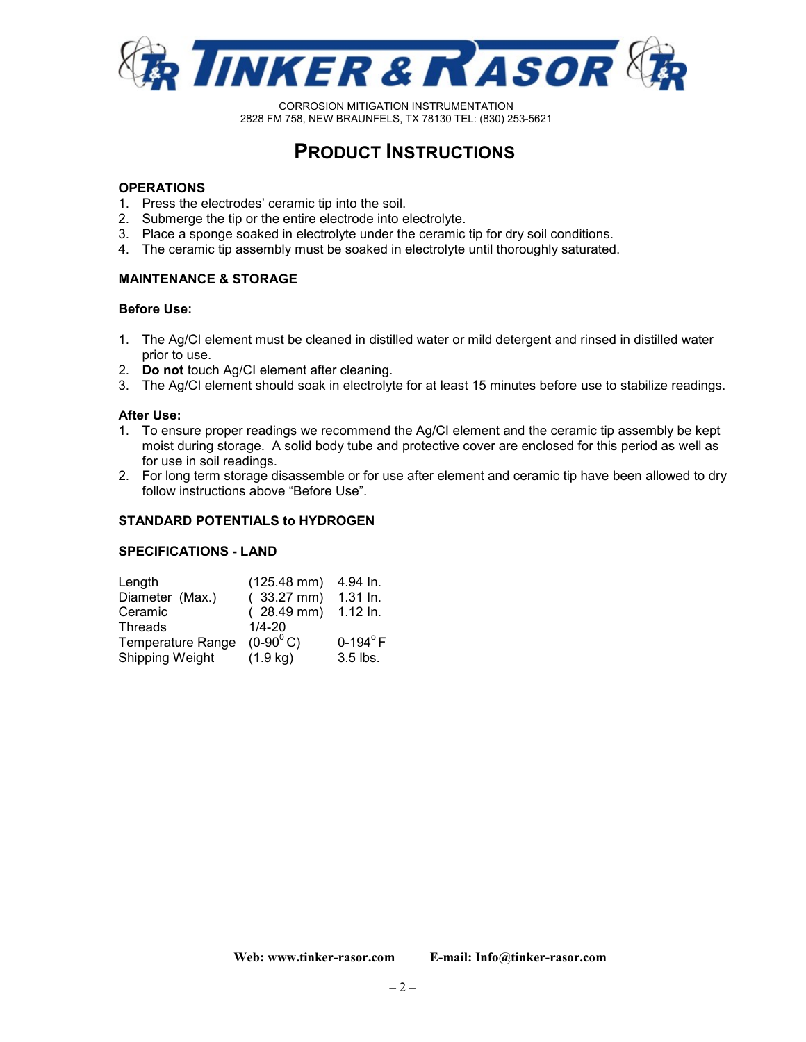

# **PRODUCT INSTRUCTIONS**

### **OPERATIONS**

- 1. Press the electrodes' ceramic tip into the soil.
- 2. Submerge the tip or the entire electrode into electrolyte.
- 3. Place a sponge soaked in electrolyte under the ceramic tip for dry soil conditions.
- 4. The ceramic tip assembly must be soaked in electrolyte until thoroughly saturated.

## **MAINTENANCE & STORAGE**

### **Before Use:**

- 1. The Ag/CI element must be cleaned in distilled water or mild detergent and rinsed in distilled water prior to use.
- 2. **Do not** touch Ag/CI element after cleaning.
- 3. The Ag/CI element should soak in electrolyte for at least 15 minutes before use to stabilize readings.

### **After Use:**

- 1. To ensure proper readings we recommend the Ag/CI element and the ceramic tip assembly be kept moist during storage. A solid body tube and protective cover are enclosed for this period as well as for use in soil readings.
- 2. For long term storage disassemble or for use after element and ceramic tip have been allowed to dry follow instructions above "Before Use".

### **STANDARD POTENTIALS to HYDROGEN**

### **SPECIFICATIONS - LAND**

| Length                   | $(125.48$ mm)        | 4.94 ln.        |
|--------------------------|----------------------|-----------------|
| Diameter (Max.)          | $(33.27 \text{ mm})$ | 1.31 In.        |
| Ceramic                  | $(28.49 \text{ mm})$ | 1.12 ln.        |
| <b>Threads</b>           | $1/4 - 20$           |                 |
| <b>Temperature Range</b> | $(0-90^0 C)$         | $0-194^\circ$ F |
| Shipping Weight          | $(1.9 \text{ kg})$   | 3.5 lbs.        |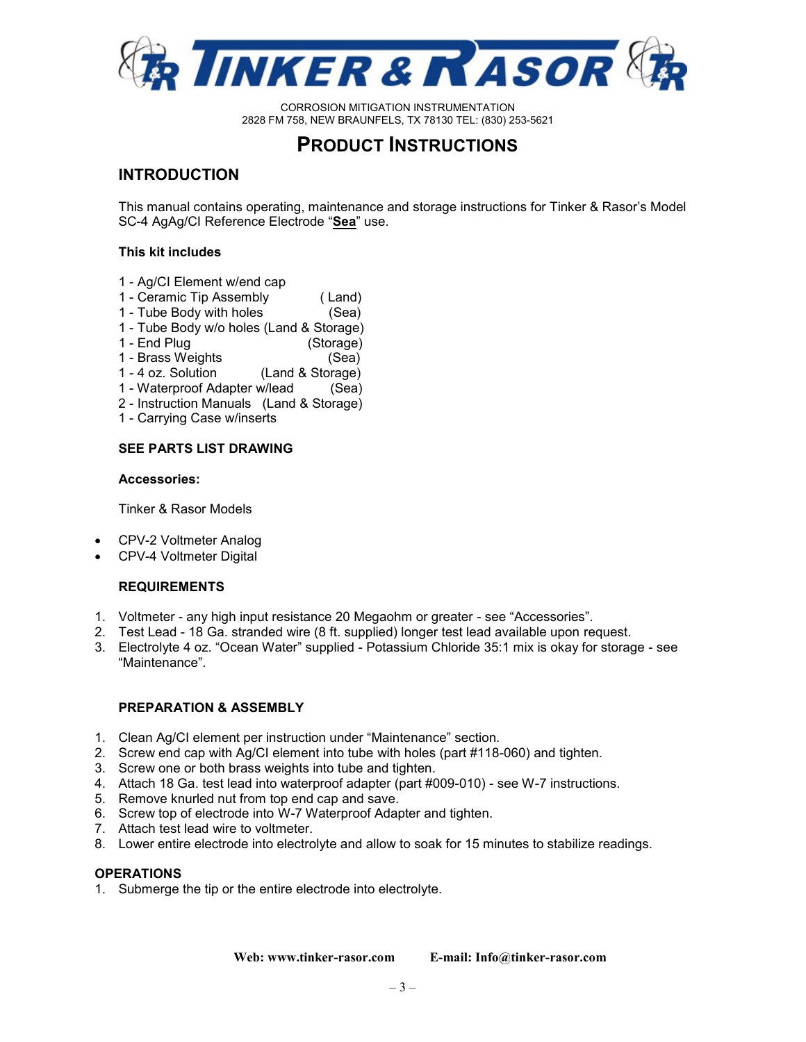

# **PRODUCT INSTRUCTIONS**

# **INTRODUCTION**

This manual contains operating, maintenance and storage instructions for Tinker & Rasor's Model SC-4 AgAg/CI Reference Electrode "**Sea**" use.

## **This kit includes**

- 1 Ag/CI Element w/end cap
- 1 Ceramic Tip Assembly ( Land)
- 1 Tube Body with holes (Sea)
- 1 Tube Body w/o holes (Land & Storage)
- 1 End Plug (Storage)
- 1 Brass Weights (Sea)
- 1 4 oz. Solution (Land & Storage)
- 1 Waterproof Adapter w/lead (Sea)
- 2 Instruction Manuals (Land & Storage)
- 1 Carrying Case w/inserts

## **SEE PARTS LIST DRAWING**

### **Accessories:**

Tinker & Rasor Models

- CPV-2 Voltmeter Analog
- CPV-4 Voltmeter Digital

## **REQUIREMENTS**

- 1. Voltmeter any high input resistance 20 Megaohm or greater see "Accessories".
- 2. Test Lead 18 Ga. stranded wire (8 ft. supplied) longer test lead available upon request.
- 3. Electrolyte 4 oz. "Ocean Water" supplied Potassium Chloride 35:1 mix is okay for storage see "Maintenance".

## **PREPARATION & ASSEMBLY**

- 1. Clean Ag/CI element per instruction under "Maintenance" section.
- 2. Screw end cap with Ag/CI element into tube with holes (part #118-060) and tighten.
- 3. Screw one or both brass weights into tube and tighten.
- 4. Attach 18 Ga. test lead into waterproof adapter (part #009-010) see W-7 instructions.
- 5. Remove knurled nut from top end cap and save.
- 6. Screw top of electrode into W-7 Waterproof Adapter and tighten.
- 7. Attach test lead wire to voltmeter.
- 8. Lower entire electrode into electrolyte and allow to soak for 15 minutes to stabilize readings.

### **OPERATIONS**

1. Submerge the tip or the entire electrode into electrolyte.

**Web: www.tinker-rasor.com E-mail: Info@tinker-rasor.com**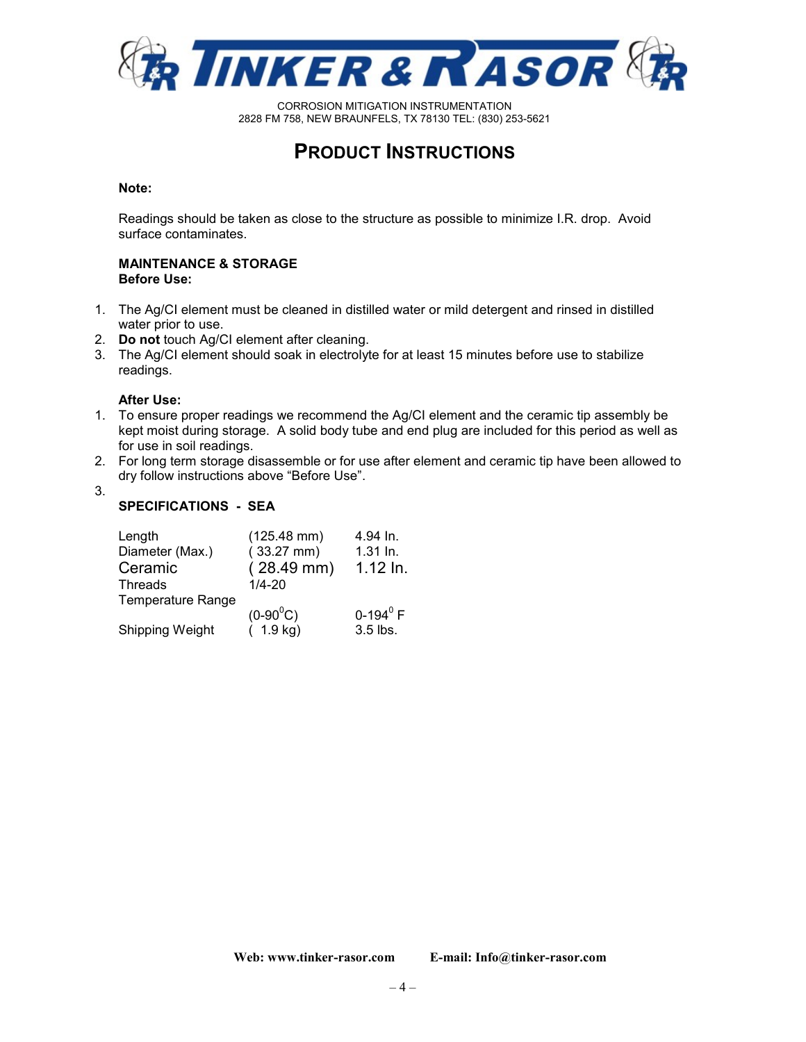

# **PRODUCT INSTRUCTIONS**

### **Note:**

Readings should be taken as close to the structure as possible to minimize I.R. drop. Avoid surface contaminates.

### **MAINTENANCE & STORAGE Before Use:**

- 1. The Ag/CI element must be cleaned in distilled water or mild detergent and rinsed in distilled water prior to use.
- 2. **Do not** touch Ag/CI element after cleaning.
- 3. The Ag/CI element should soak in electrolyte for at least 15 minutes before use to stabilize readings.

### **After Use:**

- 1. To ensure proper readings we recommend the Ag/CI element and the ceramic tip assembly be kept moist during storage. A solid body tube and end plug are included for this period as well as for use in soil readings.
- 2. For long term storage disassemble or for use after element and ceramic tip have been allowed to dry follow instructions above "Before Use".
- 3.

# **SPECIFICATIONS - SEA**

| Length<br>Diameter (Max.)<br>Ceramic<br><b>Threads</b> | $(125.48$ mm $)$<br>$(33.27$ mm)<br>$(28.49$ mm $)$<br>$1/4 - 20$ | 4.94 In.<br>$1.31$ In.<br>$1.12$ In. |
|--------------------------------------------------------|-------------------------------------------------------------------|--------------------------------------|
| <b>Temperature Range</b>                               | $(0-90^0C)$                                                       | 0-194 $^{0}$ F                       |
| Shipping Weight                                        | (1.9 kg)                                                          | 3.5 lbs.                             |